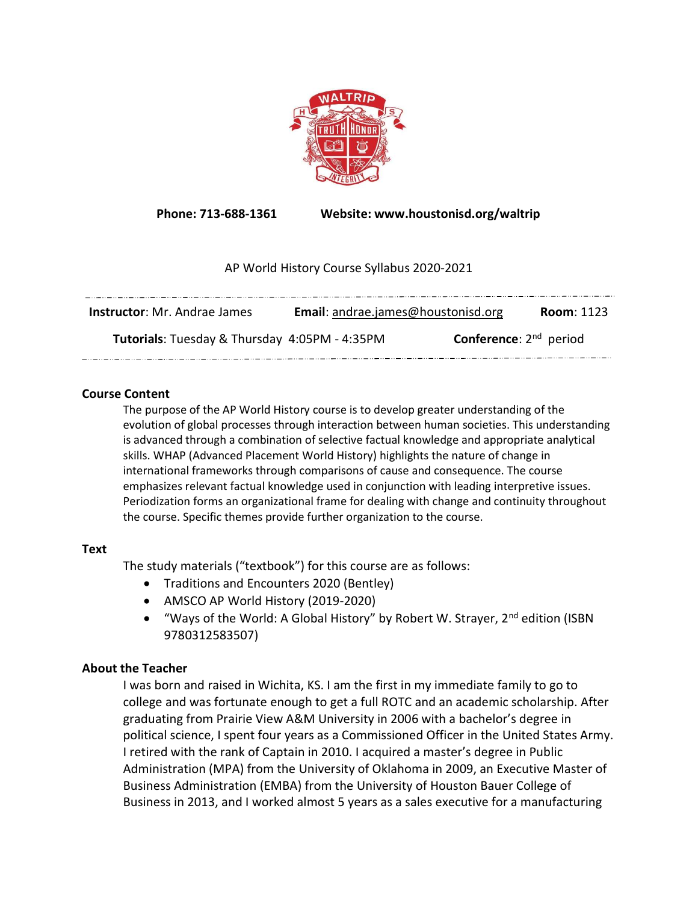

Phone: 713-688-1361 Website: www.houstonisd.org/waltrip

## AP World History Course Syllabus 2020-2021

| <b>Instructor:</b> Mr. Andrae James           | Email: andrae.james@houstonisd.org |                                    | <b>Room: 1123</b> |
|-----------------------------------------------|------------------------------------|------------------------------------|-------------------|
| Tutorials: Tuesday & Thursday 4:05PM - 4:35PM |                                    | <b>Conference:</b> $2^{nd}$ period |                   |

## Course Content

The purpose of the AP World History course is to develop greater understanding of the evolution of global processes through interaction between human societies. This understanding is advanced through a combination of selective factual knowledge and appropriate analytical skills. WHAP (Advanced Placement World History) highlights the nature of change in international frameworks through comparisons of cause and consequence. The course emphasizes relevant factual knowledge used in conjunction with leading interpretive issues. Periodization forms an organizational frame for dealing with change and continuity throughout the course. Specific themes provide further organization to the course.

## Text

The study materials ("textbook") for this course are as follows:

- Traditions and Encounters 2020 (Bentley)
- AMSCO AP World History (2019-2020)
- "Ways of the World: A Global History" by Robert W. Strayer, 2<sup>nd</sup> edition (ISBN 9780312583507)

# About the Teacher

I was born and raised in Wichita, KS. I am the first in my immediate family to go to college and was fortunate enough to get a full ROTC and an academic scholarship. After graduating from Prairie View A&M University in 2006 with a bachelor's degree in political science, I spent four years as a Commissioned Officer in the United States Army. I retired with the rank of Captain in 2010. I acquired a master's degree in Public Administration (MPA) from the University of Oklahoma in 2009, an Executive Master of Business Administration (EMBA) from the University of Houston Bauer College of Business in 2013, and I worked almost 5 years as a sales executive for a manufacturing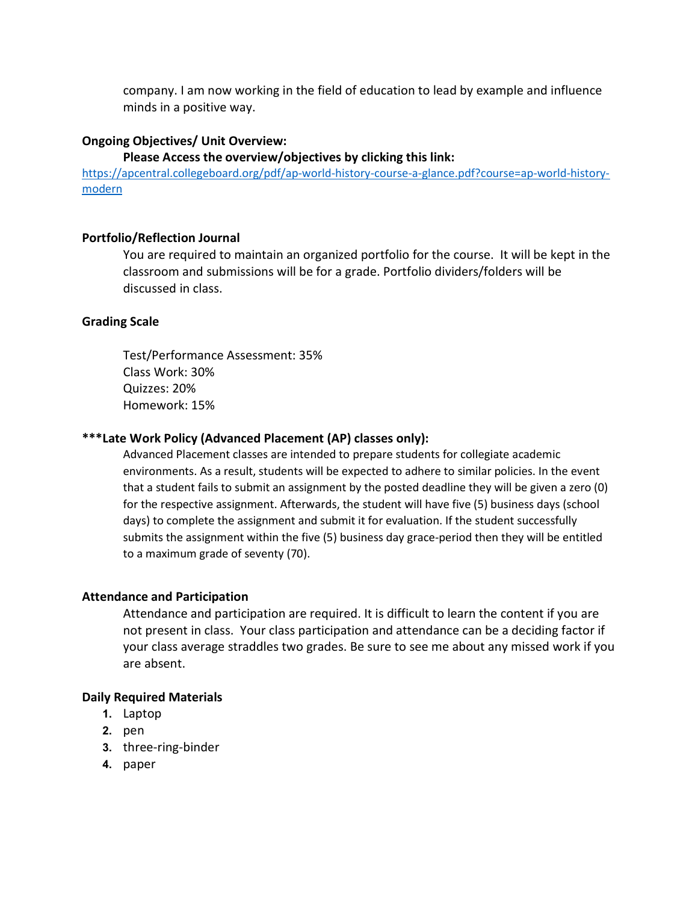company. I am now working in the field of education to lead by example and influence minds in a positive way.

### Ongoing Objectives/ Unit Overview:

#### Please Access the overview/objectives by clicking this link:

https://apcentral.collegeboard.org/pdf/ap-world-history-course-a-glance.pdf?course=ap-world-historymodern

#### Portfolio/Reflection Journal

You are required to maintain an organized portfolio for the course. It will be kept in the classroom and submissions will be for a grade. Portfolio dividers/folders will be discussed in class.

#### Grading Scale

Test/Performance Assessment: 35% Class Work: 30% Quizzes: 20% Homework: 15%

### \*\*\*Late Work Policy (Advanced Placement (AP) classes only):

Advanced Placement classes are intended to prepare students for collegiate academic environments. As a result, students will be expected to adhere to similar policies. In the event that a student fails to submit an assignment by the posted deadline they will be given a zero (0) for the respective assignment. Afterwards, the student will have five (5) business days (school days) to complete the assignment and submit it for evaluation. If the student successfully submits the assignment within the five (5) business day grace-period then they will be entitled to a maximum grade of seventy (70).

#### Attendance and Participation

Attendance and participation are required. It is difficult to learn the content if you are not present in class. Your class participation and attendance can be a deciding factor if your class average straddles two grades. Be sure to see me about any missed work if you are absent.

#### Daily Required Materials

- 1. Laptop
- 2. pen
- 3. three-ring-binder
- 4. paper